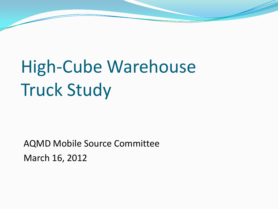## High-Cube Warehouse Truck Study

AQMD Mobile Source Committee March 16, 2012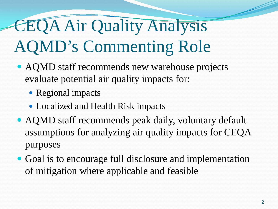## CEQA Air Quality Analysis AQMD's Commenting Role

- AQMD staff recommends new warehouse projects evaluate potential air quality impacts for:
	- Regional impacts
	- Localized and Health Risk impacts
- AQMD staff recommends peak daily, voluntary default assumptions for analyzing air quality impacts for CEQA purposes
- Goal is to encourage full disclosure and implementation of mitigation where applicable and feasible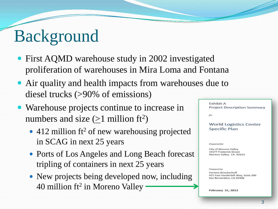## Background

- First AQMD warehouse study in 2002 investigated proliferation of warehouses in Mira Loma and Fontana
- Air quality and health impacts from warehouses due to diesel trucks (>90% of emissions)
- Warehouse projects continue to increase in numbers and size  $(\geq 1$  million ft<sup>2</sup>)
	- $\cdot$  412 million ft<sup>2</sup> of new warehousing projected in SCAG in next 25 years
	- Ports of Los Angeles and Long Beach forecast tripling of containers in next 25 years
	- New projects being developed now, including 40 million ft<sup>2</sup> in Moreno Valley

**Exhibit A Project Description Summary** 

**World Logistics Center Specific Plan** 

Prepared for

for

**City of Moreno Valley** 14177 Frederick Street Moreno Valley, CA 92553

Prepared by

Parsons Brinckerhoff 421 East Vanderbilt Way, Suite 200 San Bernardino, CA 92408

**February 21, 2012**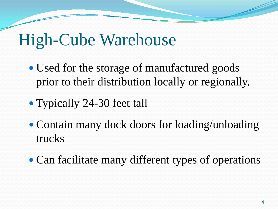### High-Cube Warehouse

- Used for the storage of manufactured goods prior to their distribution locally or regionally.
- Typically 24-30 feet tall
- Contain many dock doors for loading/unloading trucks
- Can facilitate many different types of operations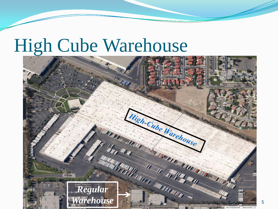## High Cube Warehouse



5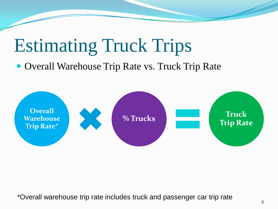## Estimating Truck Trips

#### • Overall Warehouse Trip Rate vs. Truck Trip Rate



\*Overall warehouse trip rate includes truck and passenger car trip rate  $\frac{6}{6}$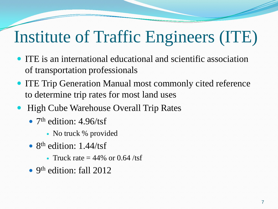## Institute of Traffic Engineers (ITE)

- ITE is an international educational and scientific association of transportation professionals
- ITE Trip Generation Manual most commonly cited reference to determine trip rates for most land uses
- High Cube Warehouse Overall Trip Rates
	- $7<sup>th</sup>$  edition: 4.96/tsf
		- No truck % provided
	- $8<sup>th</sup>$  edition: 1.44/tsf
		- Truck rate  $= 44\%$  or 0.64 /tsf
	- $\bullet$  9<sup>th</sup> edition: fall 2012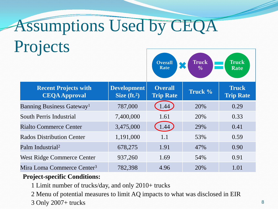# Assumptions Used by CEQA Projects

| <b>Recent Projects with</b><br><b>CEQA Approval</b> | <b>Development</b><br>Size $({\bf ft.}^2)$ | <b>Overall</b><br><b>Trip Rate</b> | Truck % | <b>Truck</b><br><b>Trip Rate</b> |
|-----------------------------------------------------|--------------------------------------------|------------------------------------|---------|----------------------------------|
| <b>Banning Business Gateway</b> <sup>1</sup>        | 787,000                                    | 1.44                               | 20%     | 0.29                             |
| South Perris Industrial                             | 7,400,000                                  | 1.61                               | 20%     | 0.33                             |
| <b>Rialto Commerce Center</b>                       | 3,475,000                                  | 1.44                               | 29%     | 0.41                             |
| <b>Rados Distribution Center</b>                    | 1,191,000                                  | 1.1                                | 53%     | 0.59                             |
| Palm Industrial <sup>2</sup>                        | 678,275                                    | 1.91                               | 47%     | 0.90                             |
| West Ridge Commerce Center                          | 937,260                                    | 1.69                               | 54%     | 0.91                             |
| Mira Loma Commerce Center <sup>3</sup>              | 782,398                                    | 4.96                               | 20%     | 1.01                             |

**Overall Rate**

**Truck %**

**Truck Rate**

#### **Project-specific Conditions:**

1 Limit number of trucks/day, and only 2010+ trucks

2 Menu of potential measures to limit AQ impacts to what was disclosed in EIR

 $3$  Only  $2007+$  trucks  $8$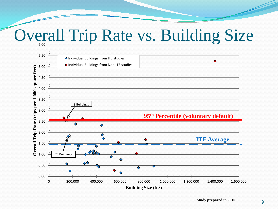### Overall Trip Rate vs. Building Size

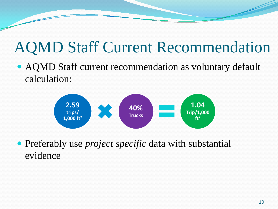### AQMD Staff Current Recommendation

 AQMD Staff current recommendation as voluntary default calculation:



 Preferably use *project specific* data with substantial evidence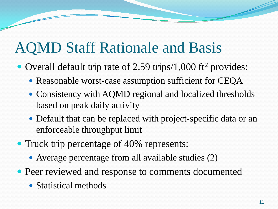#### AQMD Staff Rationale and Basis

- Overall default trip rate of 2.59 trips/1,000 ft<sup>2</sup> provides:
	- Reasonable worst-case assumption sufficient for CEQA
	- Consistency with AQMD regional and localized thresholds based on peak daily activity
	- Default that can be replaced with project-specific data or an enforceable throughput limit
- Truck trip percentage of 40% represents:
	- Average percentage from all available studies (2)
- Peer reviewed and response to comments documented
	- Statistical methods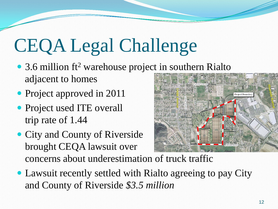# CEQA Legal Challenge

- 3.6 million  $ft^2$  warehouse project in southern Rialto adjacent to homes
- Project approved in 2011
- Project used ITE overall trip rate of 1.44
- City and County of Riverside brought CEQA lawsuit over concerns about underestimation of truck traffic



*Cedar Avenue*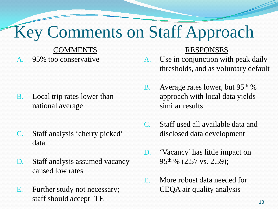## Key Comments on Staff Approach

#### **COMMENTS**

A. 95% too conservative

- B. Local trip rates lower than national average
- C. Staff analysis 'cherry picked' data
- D. Staff analysis assumed vacancy caused low rates
- E. Further study not necessary; staff should accept ITE

#### RESPONSES

- A. Use in conjunction with peak daily thresholds, and as voluntary default
- B. Average rates lower, but 95<sup>th</sup> % approach with local data yields similar results
- C. Staff used all available data and disclosed data development
- D. 'Vacancy' has little impact on 95th % (2.57 vs. 2.59);
- E. More robust data needed for CEQA air quality analysis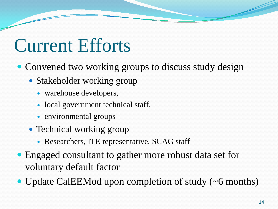## Current Efforts

- Convened two working groups to discuss study design
	- Stakeholder working group
		- warehouse developers,
		- local government technical staff,
		- environmental groups
	- Technical working group
		- Researchers, ITE representative, SCAG staff
- Engaged consultant to gather more robust data set for voluntary default factor
- Update CalEEMod upon completion of study (~6 months)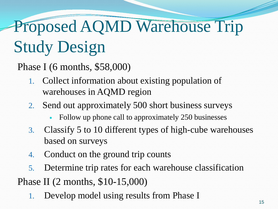## Proposed AQMD Warehouse Trip Study Design

Phase I (6 months, \$58,000)

- 1. Collect information about existing population of warehouses in AQMD region
- 2. Send out approximately 500 short business surveys
	- Follow up phone call to approximately 250 businesses
- 3. Classify 5 to 10 different types of high-cube warehouses based on surveys
- 4. Conduct on the ground trip counts
- 5. Determine trip rates for each warehouse classification Phase II (2 months, \$10-15,000)
	- 1. Develop model using results from Phase I